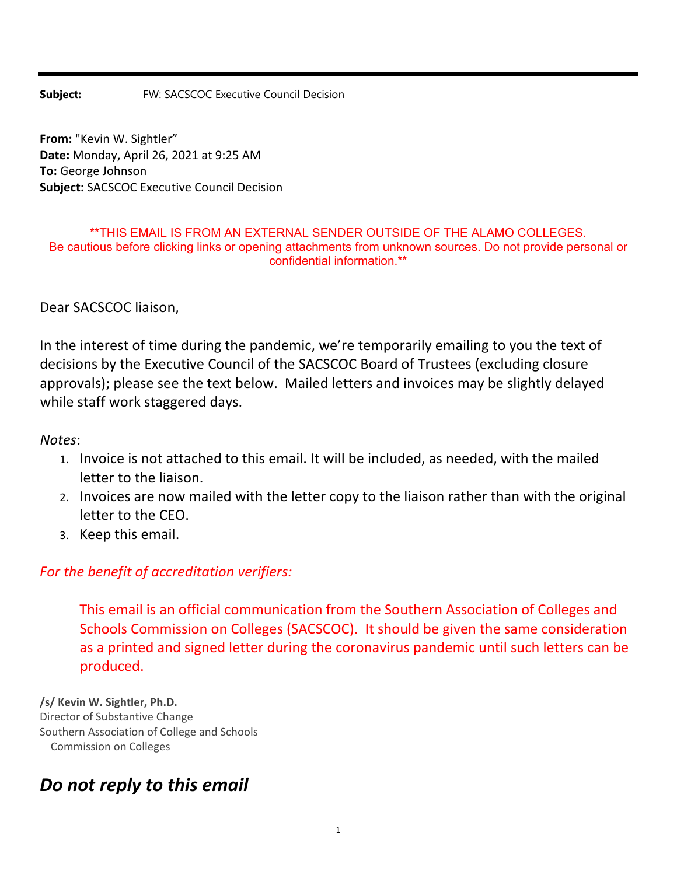## **Subject:** FW: SACSCOC Executive Council Decision

**From:** "Kevin W. Sightler" **Date:** Monday, April 26, 2021 at 9:25 AM **To:** George Johnson **Subject:** SACSCOC Executive Council Decision

## \*\*THIS EMAIL IS FROM AN EXTERNAL SENDER OUTSIDE OF THE ALAMO COLLEGES. Be cautious before clicking links or opening attachments from unknown sources. Do not provide personal or confidential information.\*\*

Dear SACSCOC liaison,

In the interest of time during the pandemic, we're temporarily emailing to you the text of decisions by the Executive Council of the SACSCOC Board of Trustees (excluding closure approvals); please see the text below. Mailed letters and invoices may be slightly delayed while staff work staggered days.

*Notes*:

- 1. Invoice is not attached to this email. It will be included, as needed, with the mailed letter to the liaison.
- 2. Invoices are now mailed with the letter copy to the liaison rather than with the original letter to the CEO.
- 3. Keep this email.

## *For the benefit of accreditation verifiers:*

This email is an official communication from the Southern Association of Colleges and Schools Commission on Colleges (SACSCOC). It should be given the same consideration as a printed and signed letter during the coronavirus pandemic until such letters can be produced.

**/s/ Kevin W. Sightler, Ph.D.** Director of Substantive Change Southern Association of College and Schools Commission on Colleges

## *Do not reply to this email*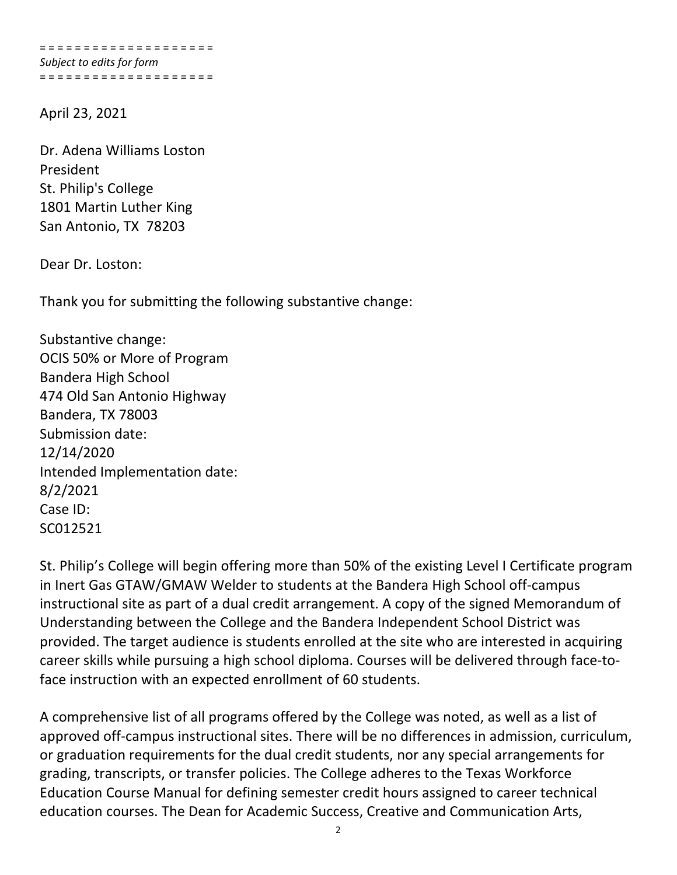= = = = = = = = = = = = = = = = = = = = *Subject to edits for form* = = = = = = = = = = = = = = = = = = = =

April 23, 2021

Dr. Adena Williams Loston President St. Philip's College 1801 Martin Luther King San Antonio, TX 78203

Dear Dr. Loston:

Thank you for submitting the following substantive change:

Substantive change: OCIS 50% or More of Program Bandera High School 474 Old San Antonio Highway Bandera, TX 78003 Submission date: 12/14/2020 Intended Implementation date: 8/2/2021 Case ID: SC012521

St. Philip's College will begin offering more than 50% of the existing Level I Certificate program in Inert Gas GTAW/GMAW Welder to students at the Bandera High School off‐campus instructional site as part of a dual credit arrangement. A copy of the signed Memorandum of Understanding between the College and the Bandera Independent School District was provided. The target audience is students enrolled at the site who are interested in acquiring career skills while pursuing a high school diploma. Courses will be delivered through face‐to‐ face instruction with an expected enrollment of 60 students.

A comprehensive list of all programs offered by the College was noted, as well as a list of approved off-campus instructional sites. There will be no differences in admission, curriculum, or graduation requirements for the dual credit students, nor any special arrangements for grading, transcripts, or transfer policies. The College adheres to the Texas Workforce Education Course Manual for defining semester credit hours assigned to career technical education courses. The Dean for Academic Success, Creative and Communication Arts,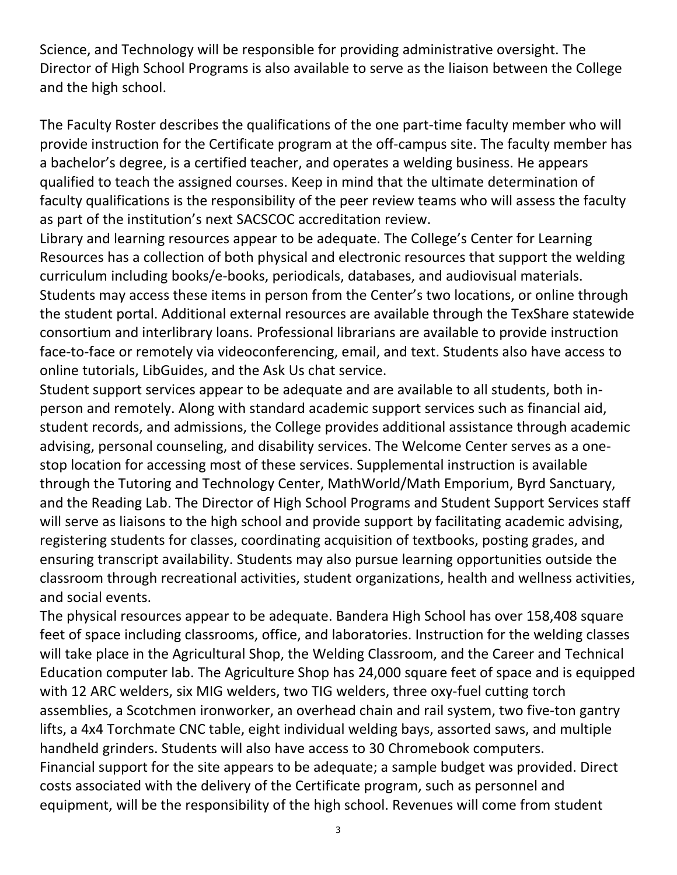Science, and Technology will be responsible for providing administrative oversight. The Director of High School Programs is also available to serve as the liaison between the College and the high school.

The Faculty Roster describes the qualifications of the one part-time faculty member who will provide instruction for the Certificate program at the off-campus site. The faculty member has a bachelor's degree, is a certified teacher, and operates a welding business. He appears qualified to teach the assigned courses. Keep in mind that the ultimate determination of faculty qualifications is the responsibility of the peer review teams who will assess the faculty as part of the institution's next SACSCOC accreditation review.

Library and learning resources appear to be adequate. The College's Center for Learning Resources has a collection of both physical and electronic resources that support the welding curriculum including books/e‐books, periodicals, databases, and audiovisual materials. Students may access these items in person from the Center's two locations, or online through the student portal. Additional external resources are available through the TexShare statewide consortium and interlibrary loans. Professional librarians are available to provide instruction face-to-face or remotely via videoconferencing, email, and text. Students also have access to online tutorials, LibGuides, and the Ask Us chat service.

Student support services appear to be adequate and are available to all students, both in‐ person and remotely. Along with standard academic support services such as financial aid, student records, and admissions, the College provides additional assistance through academic advising, personal counseling, and disability services. The Welcome Center serves as a one‐ stop location for accessing most of these services. Supplemental instruction is available through the Tutoring and Technology Center, MathWorld/Math Emporium, Byrd Sanctuary, and the Reading Lab. The Director of High School Programs and Student Support Services staff will serve as liaisons to the high school and provide support by facilitating academic advising, registering students for classes, coordinating acquisition of textbooks, posting grades, and ensuring transcript availability. Students may also pursue learning opportunities outside the classroom through recreational activities, student organizations, health and wellness activities, and social events.

The physical resources appear to be adequate. Bandera High School has over 158,408 square feet of space including classrooms, office, and laboratories. Instruction for the welding classes will take place in the Agricultural Shop, the Welding Classroom, and the Career and Technical Education computer lab. The Agriculture Shop has 24,000 square feet of space and is equipped with 12 ARC welders, six MIG welders, two TIG welders, three oxy-fuel cutting torch assemblies, a Scotchmen ironworker, an overhead chain and rail system, two five-ton gantry lifts, a 4x4 Torchmate CNC table, eight individual welding bays, assorted saws, and multiple handheld grinders. Students will also have access to 30 Chromebook computers. Financial support for the site appears to be adequate; a sample budget was provided. Direct costs associated with the delivery of the Certificate program, such as personnel and equipment, will be the responsibility of the high school. Revenues will come from student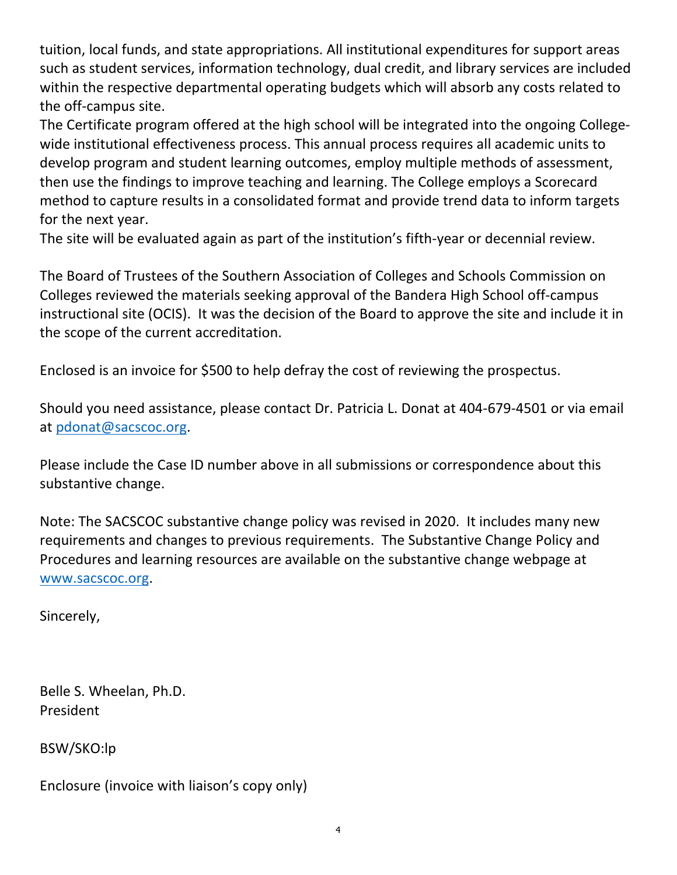tuition, local funds, and state appropriations. All institutional expenditures for support areas such as student services, information technology, dual credit, and library services are included within the respective departmental operating budgets which will absorb any costs related to the off‐campus site.

The Certificate program offered at the high school will be integrated into the ongoing College‐ wide institutional effectiveness process. This annual process requires all academic units to develop program and student learning outcomes, employ multiple methods of assessment, then use the findings to improve teaching and learning. The College employs a Scorecard method to capture results in a consolidated format and provide trend data to inform targets for the next year.

The site will be evaluated again as part of the institution's fifth-year or decennial review.

The Board of Trustees of the Southern Association of Colleges and Schools Commission on Colleges reviewed the materials seeking approval of the Bandera High School off‐campus instructional site (OCIS). It was the decision of the Board to approve the site and include it in the scope of the current accreditation.

Enclosed is an invoice for \$500 to help defray the cost of reviewing the prospectus.

Should you need assistance, please contact Dr. Patricia L. Donat at 404‐679‐4501 or via email at pdonat@sacscoc.org.

Please include the Case ID number above in all submissions or correspondence about this substantive change.

Note: The SACSCOC substantive change policy was revised in 2020. It includes many new requirements and changes to previous requirements. The Substantive Change Policy and Procedures and learning resources are available on the substantive change webpage at www.sacscoc.org.

Sincerely,

Belle S. Wheelan, Ph.D. President

BSW/SKO:lp

Enclosure (invoice with liaison's copy only)